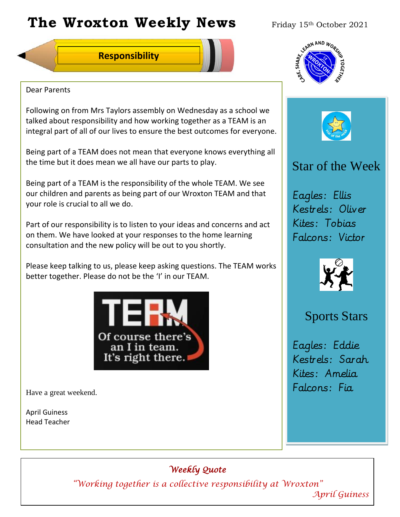# **The Wroxton Weekly News** Friday 15th October 2021

## **Responsibility**



### Dear Parents

Following on from Mrs Taylors assembly on Wednesday as a school we talked about responsibility and how working together as a TEAM is an integral part of all of our lives to ensure the best outcomes for everyone.

Being part of a TEAM does not mean that everyone knows everything all the time but it does mean we all have our parts to play.

Being part of a TEAM is the responsibility of the whole TEAM. We see our children and parents as being part of our Wroxton TEAM and that your role is crucial to all we do.

Part of our responsibility is to listen to your ideas and concerns and act on them. We have looked at your responses to the home learning consultation and the new policy will be out to you shortly.

Please keep talking to us, please keep asking questions. The TEAM works better together. Please do not be the 'I' in our TEAM.



Have a great weekend.

April Guiness Head Teacher





# Star of the Week

Eagles: Ellis Kestrels: Oliver Kites: Tobias Falcons: Victor



## Sports Stars

Eagles: Eddie Kestrels: Sarah Kites: Amelia Falcons: Fia

## *Weekly Quote*

**Oct 30 Nov 4 Dec 1 Jan 1** *"Working together is a collective responsibility at Wroxton"* 

**New Year** *April Guiness*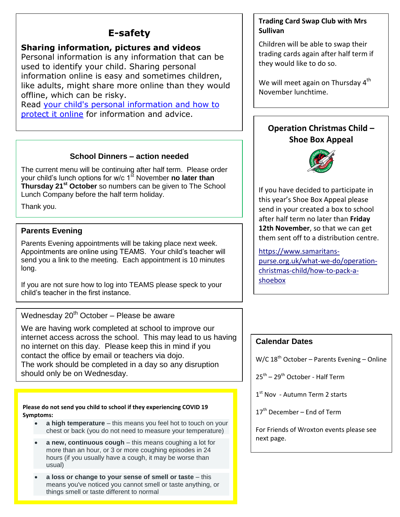## **E-safety**

### **Sharing information, pictures and videos**

Personal information is any information that can be used to identify your child. Sharing personal information online is easy and sometimes children, like adults, might share more online than they would offline, which can be risky.

Read your child's personal [information](https://parentinfo.org/article/your-child-s-personal-information-and-how-to-protect-it-online-primary) and how to [protect](https://parentinfo.org/article/your-child-s-personal-information-and-how-to-protect-it-online-primary) it online for information and advice.

### **School Dinners – action needed**

The current menu will be continuing after half term. Please order your child's lunch options for w/c 1<sup>st</sup> November **no later than Thursday 21st October** so numbers can be given to The School Lunch Company before the half term holiday.

Thank you.

## **Parents Evening**

Parents Evening appointments will be taking place next week. Appointments are online using TEAMS. Your child's teacher will send you a link to the meeting. Each appointment is 10 minutes long.

If you are not sure how to log into TEAMS please speck to your child's teacher in the first instance.

Wednesday  $20<sup>th</sup>$  October – Please be aware

 The work should be completed in a day so any disruption We are having work completed at school to improve our internet access across the school. This may lead to us having no internet on this day. Please keep this in mind if you contact the office by email or teachers via dojo. should only be on Wednesday.

#### **Please do not send you child to school if they experiencing COVID 19 Symptoms:**

- **a high temperature** this means you feel hot to touch on your chest or back (you do not need to measure your temperature)
- **a new, continuous cough** this means coughing a lot for more than an hour, or 3 or more coughing episodes in 24 hours (if you usually have a cough, it may be worse than usual)
- **a loss or change to your sense of smell or taste** this means you've noticed you cannot smell or taste anything, or things smell or taste different to normal

### **Trading Card Swap Club with Mrs Sullivan**

Children will be able to swap their trading cards again after half term if they would like to do so.

We will meet again on Thursday 4<sup>th</sup> November lunchtime.

## **Operation Christmas Child – Shoe Box Appeal**



If you have decided to participate in this year's Shoe Box Appeal please send in your created a box to school after half term no later than **Friday 12th November**, so that we can get them sent off to a distribution centre.

[https://www.samaritans](https://www.samaritans-purse.org.uk/what-we-do/operation-christmas-child/how-to-pack-a-shoebox)[purse.org.uk/what-we-do/operation](https://www.samaritans-purse.org.uk/what-we-do/operation-christmas-child/how-to-pack-a-shoebox)[christmas-child/how-to-pack-a](https://www.samaritans-purse.org.uk/what-we-do/operation-christmas-child/how-to-pack-a-shoebox)[shoebox](https://www.samaritans-purse.org.uk/what-we-do/operation-christmas-child/how-to-pack-a-shoebox)

## **Calendar Dates**

W/C 18<sup>th</sup> October – Parents Evening – Online

25<sup>th</sup> – 29<sup>th</sup> October - Half Term

1<sup>st</sup> Nov - Autumn Term 2 starts

 $17<sup>th</sup>$  December – End of Term

For Friends of Wroxton events please see next page.